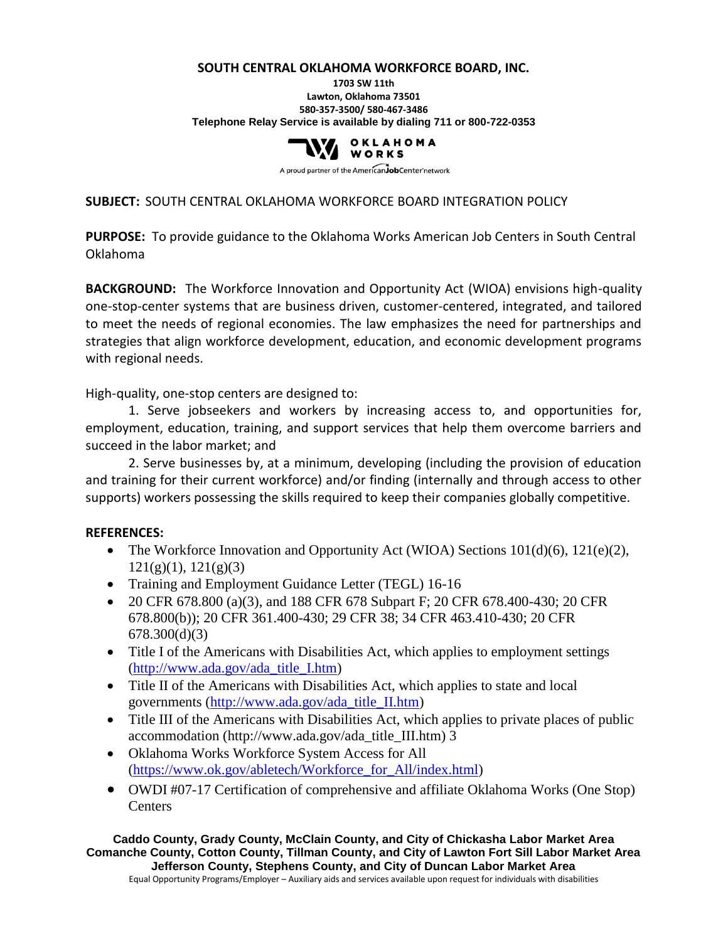#### **SOUTH CENTRAL OKLAHOMA WORKFORCE BOARD, INC. 1703 SW 11th Lawton, Oklahoma 73501 580-357-3500/ 580-467-3486 Telephone Relay Service is available by dialing 711 or 800-722-0353**



A proud partner of the American JobCenter network

#### **SUBJECT:** SOUTH CENTRAL OKLAHOMA WORKFORCE BOARD INTEGRATION POLICY

**PURPOSE:** To provide guidance to the Oklahoma Works American Job Centers in South Central Oklahoma

**BACKGROUND:** The Workforce Innovation and Opportunity Act (WIOA) envisions high-quality one-stop-center systems that are business driven, customer-centered, integrated, and tailored to meet the needs of regional economies. The law emphasizes the need for partnerships and strategies that align workforce development, education, and economic development programs with regional needs.

High-quality, one-stop centers are designed to:

1. Serve jobseekers and workers by increasing access to, and opportunities for, employment, education, training, and support services that help them overcome barriers and succeed in the labor market; and

2. Serve businesses by, at a minimum, developing (including the provision of education and training for their current workforce) and/or finding (internally and through access to other supports) workers possessing the skills required to keep their companies globally competitive.

#### **REFERENCES:**

- The Workforce Innovation and Opportunity Act (WIOA) Sections  $101(d)(6)$ ,  $121(e)(2)$ ,  $121(g)(1)$ ,  $121(g)(3)$
- Training and Employment Guidance Letter (TEGL) 16-16
- 20 CFR 678.800 (a)(3), and 188 CFR 678 Subpart F; 20 CFR 678.400-430; 20 CFR 678.800(b)); 20 CFR 361.400-430; 29 CFR 38; 34 CFR 463.410-430; 20 CFR 678.300(d)(3)
- Title I of the Americans with Disabilities Act, which applies to employment settings [\(http://www.ada.gov/ada\\_title\\_I.htm\)](http://www.ada.gov/ada_title_I.htm)
- Title II of the Americans with Disabilities Act, which applies to state and local governments [\(http://www.ada.gov/ada\\_title\\_II.htm\)](http://www.ada.gov/ada_title_II.htm)
- Title III of the Americans with Disabilities Act, which applies to private places of public accommodation (http://www.ada.gov/ada\_title\_III.htm) 3
- Oklahoma Works Workforce System Access for All [\(https://www.ok.gov/abletech/Workforce\\_for\\_All/index.html\)](https://www.ok.gov/abletech/Workforce_for_All/index.html)
- OWDI #07-17 Certification of comprehensive and affiliate Oklahoma Works (One Stop) **Centers**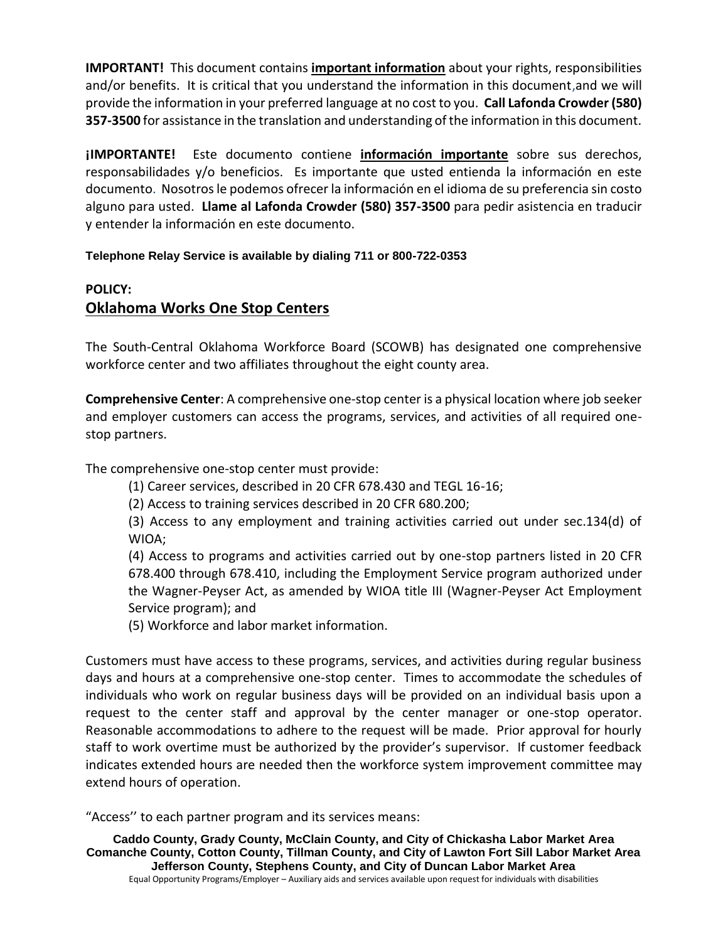**IMPORTANT!** This document contains **important information** about your rights, responsibilities and/or benefits. It is critical that you understand the information in this document,and we will provide the information in your preferred language at no cost to you. **Call Lafonda Crowder (580) 357-3500** for assistance in the translation and understanding of the information in this document.

**¡IMPORTANTE!** Este documento contiene **información importante** sobre sus derechos, responsabilidades y/o beneficios. Es importante que usted entienda la información en este documento. Nosotros le podemos ofrecer la información en el idioma de su preferencia sin costo alguno para usted. **Llame al Lafonda Crowder (580) 357-3500** para pedir asistencia en traducir y entender la información en este documento.

**Telephone Relay Service is available by dialing 711 or 800-722-0353**

# **POLICY: Oklahoma Works One Stop Centers**

The South-Central Oklahoma Workforce Board (SCOWB) has designated one comprehensive workforce center and two affiliates throughout the eight county area.

**Comprehensive Center**: A comprehensive one-stop center is a physical location where job seeker and employer customers can access the programs, services, and activities of all required onestop partners.

The comprehensive one-stop center must provide:

(1) Career services, described in 20 CFR 678.430 and TEGL 16-16;

(2) Access to training services described in 20 CFR 680.200;

(3) Access to any employment and training activities carried out under sec.134(d) of WIOA;

(4) Access to programs and activities carried out by one-stop partners listed in 20 CFR 678.400 through 678.410, including the Employment Service program authorized under the Wagner-Peyser Act, as amended by WIOA title III (Wagner-Peyser Act Employment Service program); and

(5) Workforce and labor market information.

Customers must have access to these programs, services, and activities during regular business days and hours at a comprehensive one-stop center. Times to accommodate the schedules of individuals who work on regular business days will be provided on an individual basis upon a request to the center staff and approval by the center manager or one-stop operator. Reasonable accommodations to adhere to the request will be made. Prior approval for hourly staff to work overtime must be authorized by the provider's supervisor. If customer feedback indicates extended hours are needed then the workforce system improvement committee may extend hours of operation.

"Access'' to each partner program and its services means: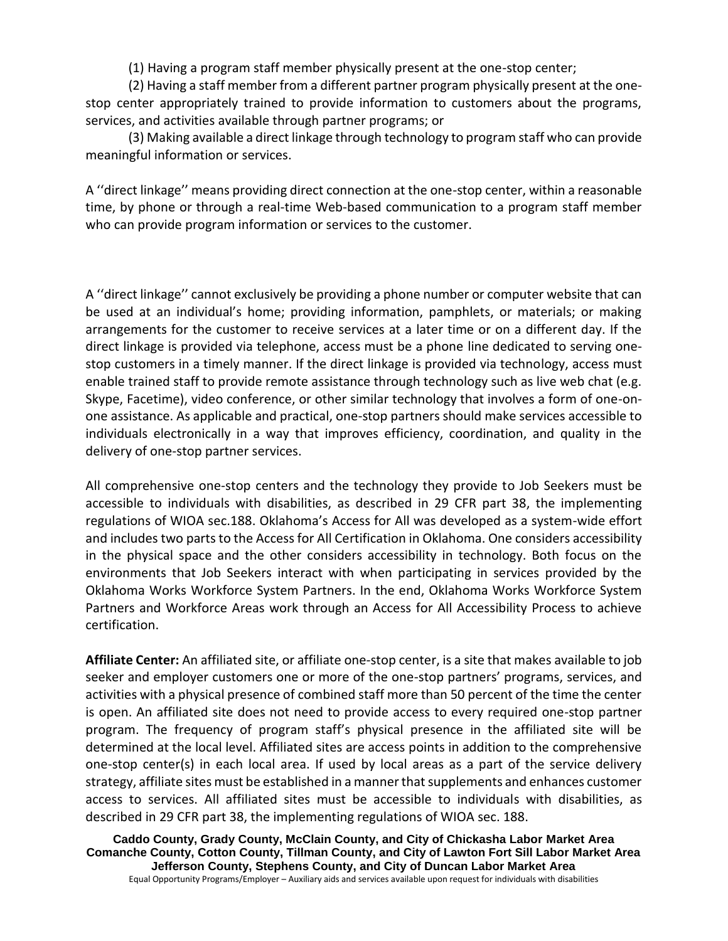(1) Having a program staff member physically present at the one-stop center;

(2) Having a staff member from a different partner program physically present at the onestop center appropriately trained to provide information to customers about the programs, services, and activities available through partner programs; or

(3) Making available a direct linkage through technology to program staff who can provide meaningful information or services.

A ''direct linkage'' means providing direct connection at the one-stop center, within a reasonable time, by phone or through a real-time Web-based communication to a program staff member who can provide program information or services to the customer.

A ''direct linkage'' cannot exclusively be providing a phone number or computer website that can be used at an individual's home; providing information, pamphlets, or materials; or making arrangements for the customer to receive services at a later time or on a different day. If the direct linkage is provided via telephone, access must be a phone line dedicated to serving onestop customers in a timely manner. If the direct linkage is provided via technology, access must enable trained staff to provide remote assistance through technology such as live web chat (e.g. Skype, Facetime), video conference, or other similar technology that involves a form of one-onone assistance. As applicable and practical, one-stop partners should make services accessible to individuals electronically in a way that improves efficiency, coordination, and quality in the delivery of one-stop partner services.

All comprehensive one-stop centers and the technology they provide to Job Seekers must be accessible to individuals with disabilities, as described in 29 CFR part 38, the implementing regulations of WIOA sec.188. Oklahoma's Access for All was developed as a system-wide effort and includes two parts to the Access for All Certification in Oklahoma. One considers accessibility in the physical space and the other considers accessibility in technology. Both focus on the environments that Job Seekers interact with when participating in services provided by the Oklahoma Works Workforce System Partners. In the end, Oklahoma Works Workforce System Partners and Workforce Areas work through an Access for All Accessibility Process to achieve certification.

**Affiliate Center:** An affiliated site, or affiliate one-stop center, is a site that makes available to job seeker and employer customers one or more of the one-stop partners' programs, services, and activities with a physical presence of combined staff more than 50 percent of the time the center is open. An affiliated site does not need to provide access to every required one-stop partner program. The frequency of program staff's physical presence in the affiliated site will be determined at the local level. Affiliated sites are access points in addition to the comprehensive one-stop center(s) in each local area. If used by local areas as a part of the service delivery strategy, affiliate sites must be established in a manner that supplements and enhances customer access to services. All affiliated sites must be accessible to individuals with disabilities, as described in 29 CFR part 38, the implementing regulations of WIOA sec. 188.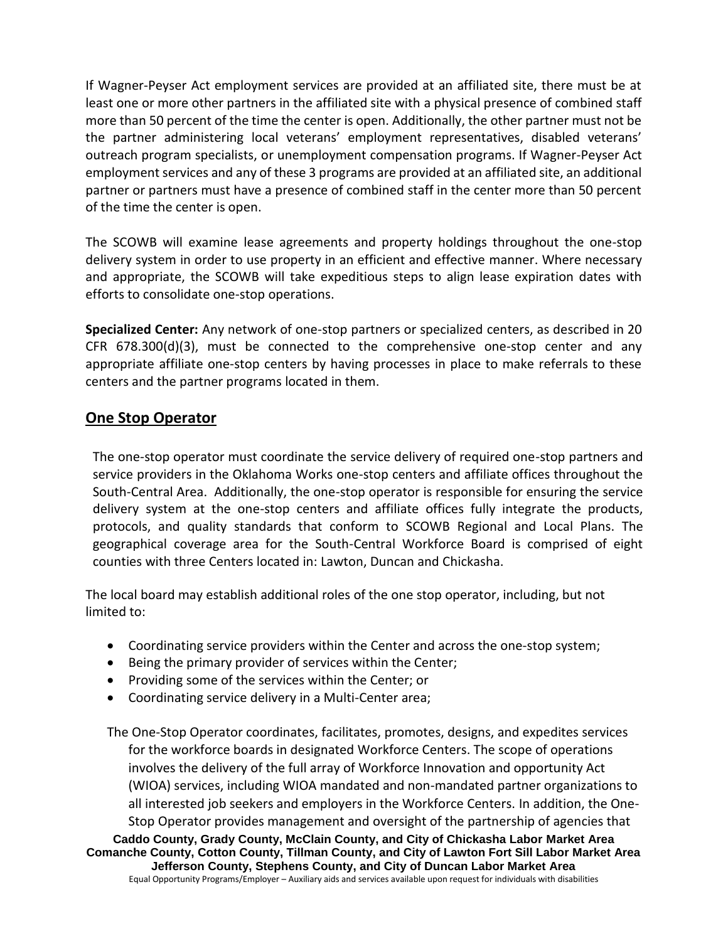If Wagner-Peyser Act employment services are provided at an affiliated site, there must be at least one or more other partners in the affiliated site with a physical presence of combined staff more than 50 percent of the time the center is open. Additionally, the other partner must not be the partner administering local veterans' employment representatives, disabled veterans' outreach program specialists, or unemployment compensation programs. If Wagner-Peyser Act employment services and any of these 3 programs are provided at an affiliated site, an additional partner or partners must have a presence of combined staff in the center more than 50 percent of the time the center is open.

The SCOWB will examine lease agreements and property holdings throughout the one-stop delivery system in order to use property in an efficient and effective manner. Where necessary and appropriate, the SCOWB will take expeditious steps to align lease expiration dates with efforts to consolidate one-stop operations.

**Specialized Center:** Any network of one-stop partners or specialized centers, as described in 20 CFR 678.300(d)(3), must be connected to the comprehensive one-stop center and any appropriate affiliate one-stop centers by having processes in place to make referrals to these centers and the partner programs located in them.

### **One Stop Operator**

The one-stop operator must coordinate the service delivery of required one-stop partners and service providers in the Oklahoma Works one-stop centers and affiliate offices throughout the South-Central Area. Additionally, the one-stop operator is responsible for ensuring the service delivery system at the one-stop centers and affiliate offices fully integrate the products, protocols, and quality standards that conform to SCOWB Regional and Local Plans. The geographical coverage area for the South-Central Workforce Board is comprised of eight counties with three Centers located in: Lawton, Duncan and Chickasha.

The local board may establish additional roles of the one stop operator, including, but not limited to:

- Coordinating service providers within the Center and across the one-stop system;
- Being the primary provider of services within the Center;
- Providing some of the services within the Center; or
- Coordinating service delivery in a Multi-Center area;

**Caddo County, Grady County, McClain County, and City of Chickasha Labor Market Area Comanche County, Cotton County, Tillman County, and City of Lawton Fort Sill Labor Market Area** The One-Stop Operator coordinates, facilitates, promotes, designs, and expedites services for the workforce boards in designated Workforce Centers. The scope of operations involves the delivery of the full array of Workforce Innovation and opportunity Act (WIOA) services, including WIOA mandated and non-mandated partner organizations to all interested job seekers and employers in the Workforce Centers. In addition, the One-Stop Operator provides management and oversight of the partnership of agencies that

**Jefferson County, Stephens County, and City of Duncan Labor Market Area** Equal Opportunity Programs/Employer – Auxiliary aids and services available upon request for individuals with disabilities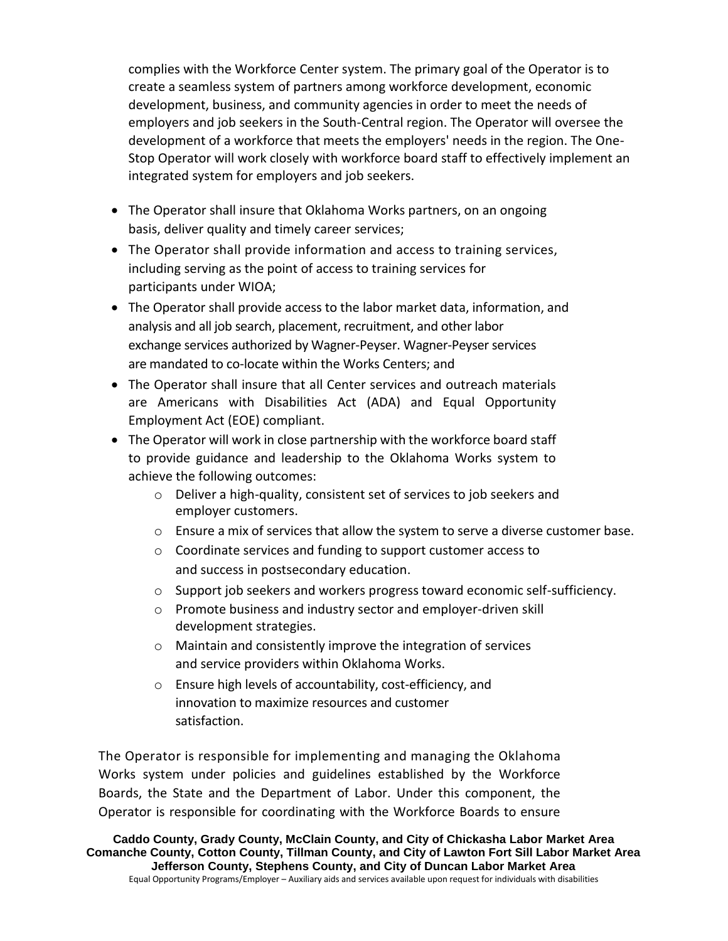complies with the Workforce Center system. The primary goal of the Operator is to create a seamless system of partners among workforce development, economic development, business, and community agencies in order to meet the needs of employers and job seekers in the South-Central region. The Operator will oversee the development of a workforce that meets the employers' needs in the region. The One-Stop Operator will work closely with workforce board staff to effectively implement an integrated system for employers and job seekers.

- The Operator shall insure that Oklahoma Works partners, on an ongoing basis, deliver quality and timely career services;
- The Operator shall provide information and access to training services, including serving as the point of access to training services for participants under WIOA;
- The Operator shall provide access to the labor market data, information, and analysis and all job search, placement, recruitment, and other labor exchange services authorized by Wagner-Peyser. Wagner-Peyser services are mandated to co-locate within the Works Centers; and
- The Operator shall insure that all Center services and outreach materials are Americans with Disabilities Act (ADA) and Equal Opportunity Employment Act (EOE) compliant.
- The Operator will work in close partnership with the workforce board staff to provide guidance and leadership to the Oklahoma Works system to achieve the following outcomes:
	- o Deliver a high-quality, consistent set of services to job seekers and employer customers.
	- $\circ$  Ensure a mix of services that allow the system to serve a diverse customer base.
	- o Coordinate services and funding to support customer access to and success in postsecondary education.
	- $\circ$  Support job seekers and workers progress toward economic self-sufficiency.
	- o Promote business and industry sector and employer-driven skill development strategies.
	- o Maintain and consistently improve the integration of services and service providers within Oklahoma Works.
	- o Ensure high levels of accountability, cost-efficiency, and innovation to maximize resources and customer satisfaction.

The Operator is responsible for implementing and managing the Oklahoma Works system under policies and guidelines established by the Workforce Boards, the State and the Department of Labor. Under this component, the Operator is responsible for coordinating with the Workforce Boards to ensure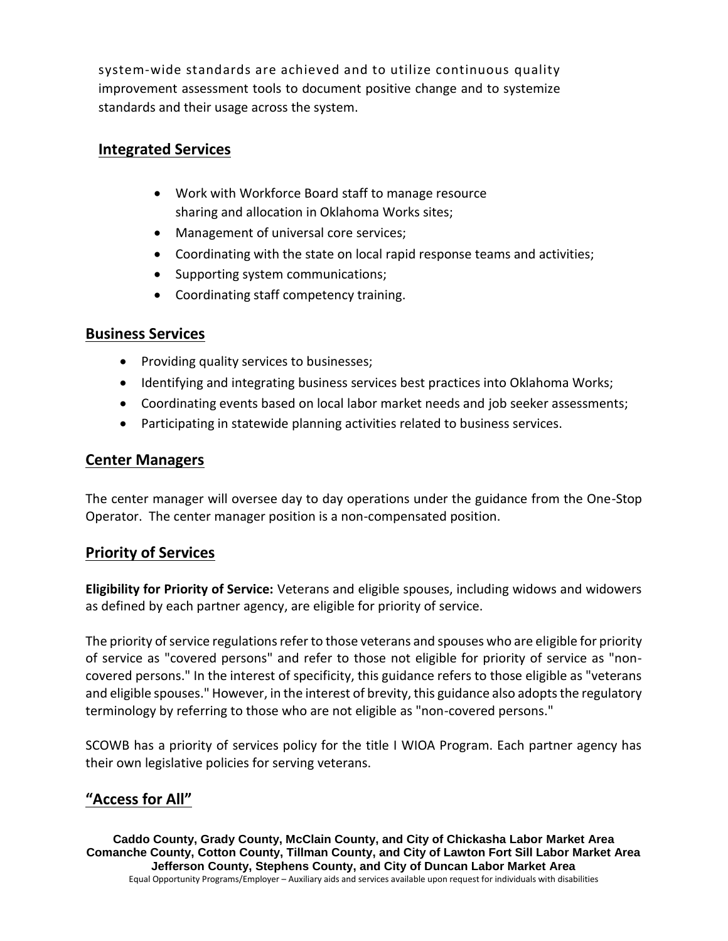system-wide standards are achieved and to utilize continuous quality improvement assessment tools to document positive change and to systemize standards and their usage across the system.

#### **Integrated Services**

- Work with Workforce Board staff to manage resource sharing and allocation in Oklahoma Works sites;
- Management of universal core services;
- Coordinating with the state on local rapid response teams and activities;
- Supporting system communications;
- Coordinating staff competency training.

#### **Business Services**

- Providing quality services to businesses;
- Identifying and integrating business services best practices into Oklahoma Works;
- Coordinating events based on local labor market needs and job seeker assessments;
- Participating in statewide planning activities related to business services.

#### **Center Managers**

The center manager will oversee day to day operations under the guidance from the One-Stop Operator. The center manager position is a non-compensated position.

#### **Priority of Services**

**Eligibility for Priority of Service:** Veterans and eligible spouses, including widows and widowers as defined by each partner agency, are eligible for priority of service.

The priority of service regulations refer to those veterans and spouses who are eligible for priority of service as "covered persons" and refer to those not eligible for priority of service as "noncovered persons." In the interest of specificity, this guidance refers to those eligible as "veterans and eligible spouses." However, in the interest of brevity, this guidance also adopts the regulatory terminology by referring to those who are not eligible as "non-covered persons."

SCOWB has a priority of services policy for the title I WIOA Program. Each partner agency has their own legislative policies for serving veterans.

## **"Access for All"**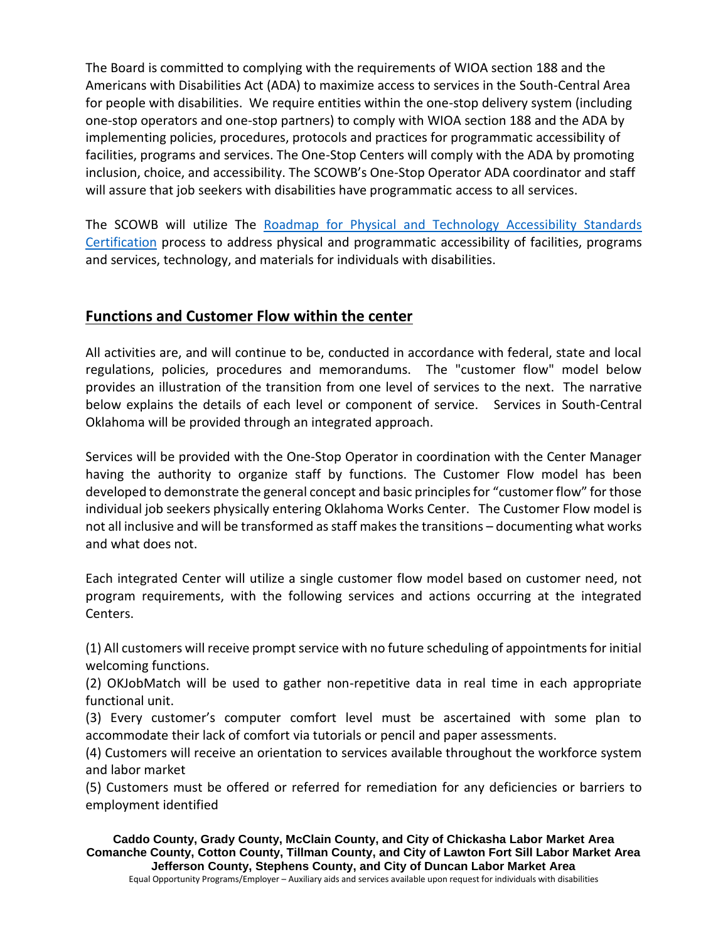The Board is committed to complying with the requirements of WIOA section 188 and the Americans with Disabilities Act (ADA) to maximize access to services in the South-Central Area for people with disabilities. We require entities within the one-stop delivery system (including one-stop operators and one-stop partners) to comply with WIOA section 188 and the ADA by implementing policies, procedures, protocols and practices for programmatic accessibility of facilities, programs and services. The One-Stop Centers will comply with the ADA by promoting inclusion, choice, and accessibility. The SCOWB's One-Stop Operator ADA coordinator and staff will assure that job seekers with disabilities have programmatic access to all services.

The SCOWB will utilize The [Roadmap for Physical and Technology Accessibility Standards](https://www.ok.gov/abletech/Workforce_for_All/Roadmap_for_Accessible_Standards_Certification.html)  [Certification](https://www.ok.gov/abletech/Workforce_for_All/Roadmap_for_Accessible_Standards_Certification.html) process to address physical and programmatic accessibility of facilities, programs and services, technology, and materials for individuals with disabilities.

### **Functions and Customer Flow within the center**

All activities are, and will continue to be, conducted in accordance with federal, state and local regulations, policies, procedures and memorandums. The "customer flow" model below provides an illustration of the transition from one level of services to the next. The narrative below explains the details of each level or component of service. Services in South-Central Oklahoma will be provided through an integrated approach.

Services will be provided with the One-Stop Operator in coordination with the Center Manager having the authority to organize staff by functions. The Customer Flow model has been developed to demonstrate the general concept and basic principles for "customer flow" for those individual job seekers physically entering Oklahoma Works Center. The Customer Flow model is not all inclusive and will be transformed as staff makes the transitions – documenting what works and what does not.

Each integrated Center will utilize a single customer flow model based on customer need, not program requirements, with the following services and actions occurring at the integrated Centers.

(1) All customers will receive prompt service with no future scheduling of appointments for initial welcoming functions.

(2) OKJobMatch will be used to gather non-repetitive data in real time in each appropriate functional unit.

(3) Every customer's computer comfort level must be ascertained with some plan to accommodate their lack of comfort via tutorials or pencil and paper assessments.

(4) Customers will receive an orientation to services available throughout the workforce system and labor market

(5) Customers must be offered or referred for remediation for any deficiencies or barriers to employment identified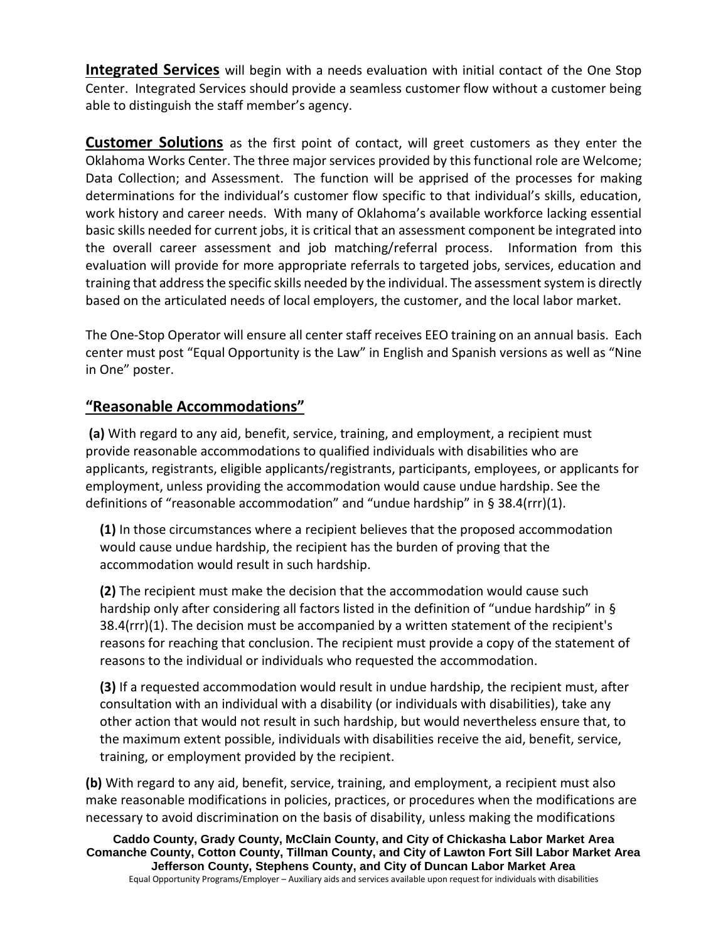**Integrated Services** will begin with a needs evaluation with initial contact of the One Stop Center. Integrated Services should provide a seamless customer flow without a customer being able to distinguish the staff member's agency.

**Customer Solutions** as the first point of contact, will greet customers as they enter the Oklahoma Works Center. The three major services provided by this functional role are Welcome; Data Collection; and Assessment. The function will be apprised of the processes for making determinations for the individual's customer flow specific to that individual's skills, education, work history and career needs. With many of Oklahoma's available workforce lacking essential basic skills needed for current jobs, it is critical that an assessment component be integrated into the overall career assessment and job matching/referral process. Information from this evaluation will provide for more appropriate referrals to targeted jobs, services, education and training that address the specific skills needed by the individual. The assessment system is directly based on the articulated needs of local employers, the customer, and the local labor market.

The One-Stop Operator will ensure all center staff receives EEO training on an annual basis. Each center must post "Equal Opportunity is the Law" in English and Spanish versions as well as "Nine in One" poster.

## **"Reasonable Accommodations"**

**(a)** With regard to any aid, benefit, service, training, and employment, a [recipient](https://www.law.cornell.edu/definitions/index.php?width=840&height=800&iframe=true&def_id=5ba810ea4dc0b0517b1725cf5fc8520f&term_occur=1&term_src=Title:29:Subtitle:A:Part:38:Subpart:A:38.14) must provide [reasonable accommodations](https://www.law.cornell.edu/definitions/index.php?width=840&height=800&iframe=true&def_id=966f8005e74e5825ad62c40f335b7255&term_occur=2&term_src=Title:29:Subtitle:A:Part:38:Subpart:A:38.14) to qualified individuals with disabilities who are [applicants,](https://www.law.cornell.edu/definitions/index.php?width=840&height=800&iframe=true&def_id=fd0ea72d419d94d344439b1220b4a08e&term_occur=1&term_src=Title:29:Subtitle:A:Part:38:Subpart:A:38.14) registrants, eligible [applicants/](https://www.law.cornell.edu/definitions/index.php?width=840&height=800&iframe=true&def_id=fd0ea72d419d94d344439b1220b4a08e&term_occur=2&term_src=Title:29:Subtitle:A:Part:38:Subpart:A:38.14)registrants, participants, employees, or [applicants](https://www.law.cornell.edu/definitions/index.php?width=840&height=800&iframe=true&def_id=fd0ea72d419d94d344439b1220b4a08e&term_occur=3&term_src=Title:29:Subtitle:A:Part:38:Subpart:A:38.14) for employment, unless providing the accommodation would cause undue hardship. See the definitions of "reasonable accommodation" and "undue hardship" in [§ 38.4\(rrr\)\(1\).](https://www.law.cornell.edu/cfr/text/29/38.4#rrr_1)

**(1)** In those circumstances where a [recipient](https://www.law.cornell.edu/definitions/index.php?width=840&height=800&iframe=true&def_id=5ba810ea4dc0b0517b1725cf5fc8520f&term_occur=2&term_src=Title:29:Subtitle:A:Part:38:Subpart:A:38.14) believes that the proposed accommodation would cause undue hardship, the [recipient](https://www.law.cornell.edu/definitions/index.php?width=840&height=800&iframe=true&def_id=5ba810ea4dc0b0517b1725cf5fc8520f&term_occur=3&term_src=Title:29:Subtitle:A:Part:38:Subpart:A:38.14) has the burden of proving that the accommodation would result in such hardship.

**(2)** The [recipient](https://www.law.cornell.edu/definitions/index.php?width=840&height=800&iframe=true&def_id=5ba810ea4dc0b0517b1725cf5fc8520f&term_occur=4&term_src=Title:29:Subtitle:A:Part:38:Subpart:A:38.14) must make the decision that the accommodation would cause such hardship only after considering all factors listed in the definition of "undue hardship" in § [38.4\(rrr\)\(1\).](https://www.law.cornell.edu/cfr/text/29/38.4#rrr_1) The decision must be accompanied by a written statement of the [recipient'](https://www.law.cornell.edu/definitions/index.php?width=840&height=800&iframe=true&def_id=5ba810ea4dc0b0517b1725cf5fc8520f&term_occur=6&term_src=Title:29:Subtitle:A:Part:38:Subpart:A:38.14)s reasons for reaching that conclusion. The [recipient](https://www.law.cornell.edu/definitions/index.php?width=840&height=800&iframe=true&def_id=5ba810ea4dc0b0517b1725cf5fc8520f&term_occur=5&term_src=Title:29:Subtitle:A:Part:38:Subpart:A:38.14) must provide a copy of the statement of reasons to the individual or individuals who requested the accommodation.

**(3)** If a requested accommodation would result in undue hardship, the [recipient](https://www.law.cornell.edu/definitions/index.php?width=840&height=800&iframe=true&def_id=5ba810ea4dc0b0517b1725cf5fc8520f&term_occur=7&term_src=Title:29:Subtitle:A:Part:38:Subpart:A:38.14) must, after consultation with an [individual with a disability](https://www.law.cornell.edu/definitions/index.php?width=840&height=800&iframe=true&def_id=5ed8023b0819a1ecdbb9373f313c443b&term_occur=1&term_src=Title:29:Subtitle:A:Part:38:Subpart:A:38.14) (or individuals with disabilities), take any other action that would not result in such hardship, but would nevertheless ensure that, to the maximum extent possible, individuals with disabilities receive the aid, benefit, service, training, or employment provided by the [recipient.](https://www.law.cornell.edu/definitions/index.php?width=840&height=800&iframe=true&def_id=5ba810ea4dc0b0517b1725cf5fc8520f&term_occur=8&term_src=Title:29:Subtitle:A:Part:38:Subpart:A:38.14)

**(b)** With regard to any aid, benefit, service, training, and employment, a [recipient](https://www.law.cornell.edu/definitions/index.php?width=840&height=800&iframe=true&def_id=5ba810ea4dc0b0517b1725cf5fc8520f&term_occur=9&term_src=Title:29:Subtitle:A:Part:38:Subpart:A:38.14) must also make reasonable modifications in policies, practices, or procedures when the modifications are necessary to avoid discrimination on the basis of [disability,](https://www.law.cornell.edu/definitions/index.php?width=840&height=800&iframe=true&def_id=5814e48524e23b3549a88bcae9486b1d&term_occur=1&term_src=Title:29:Subtitle:A:Part:38:Subpart:A:38.14) unless making the modifications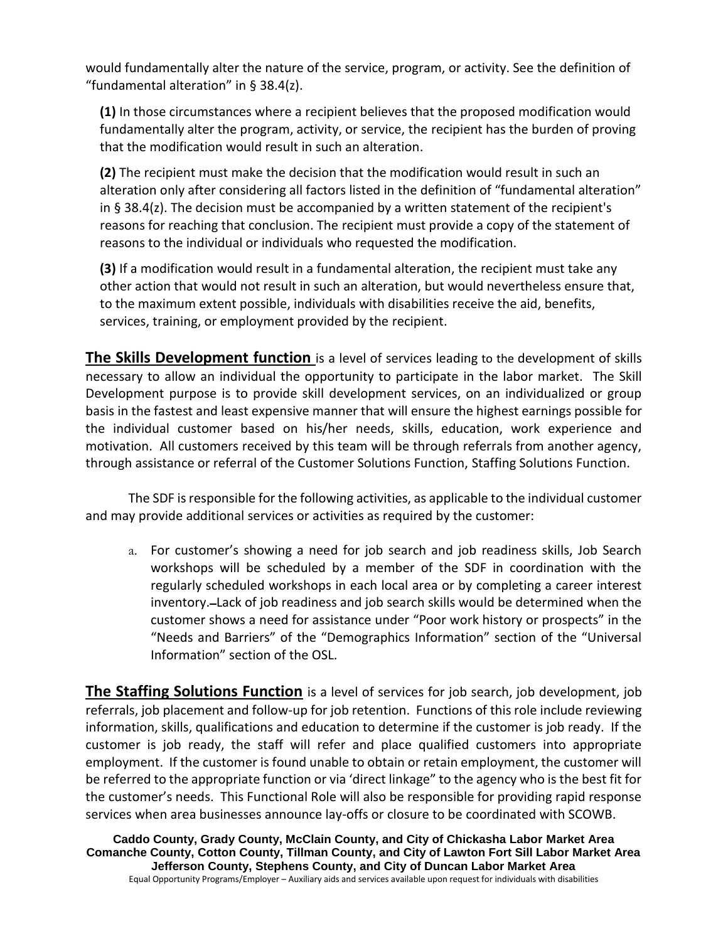would fundamentally alter the nature of the service, program, or activity. See the definition of "fundamental alteration" in [§ 38.4\(z\).](https://www.law.cornell.edu/cfr/text/29/38.4#z)

**(1)** In those circumstances where a [recipient](https://www.law.cornell.edu/definitions/index.php?width=840&height=800&iframe=true&def_id=5ba810ea4dc0b0517b1725cf5fc8520f&term_occur=10&term_src=Title:29:Subtitle:A:Part:38:Subpart:A:38.14) believes that the proposed modification would fundamentally alter the program, activity, or service, the [recipient](https://www.law.cornell.edu/definitions/index.php?width=840&height=800&iframe=true&def_id=5ba810ea4dc0b0517b1725cf5fc8520f&term_occur=11&term_src=Title:29:Subtitle:A:Part:38:Subpart:A:38.14) has the burden of proving that the modification would result in such an alteration.

**(2)** The [recipient](https://www.law.cornell.edu/definitions/index.php?width=840&height=800&iframe=true&def_id=5ba810ea4dc0b0517b1725cf5fc8520f&term_occur=12&term_src=Title:29:Subtitle:A:Part:38:Subpart:A:38.14) must make the decision that the modification would result in such an alteration only after considering all factors listed in the definition of "fundamental alteration" in [§ 38.4\(z\).](https://www.law.cornell.edu/cfr/text/29/38.4#z) The decision must be accompanied by a written statement of the [recipient'](https://www.law.cornell.edu/definitions/index.php?width=840&height=800&iframe=true&def_id=5ba810ea4dc0b0517b1725cf5fc8520f&term_occur=14&term_src=Title:29:Subtitle:A:Part:38:Subpart:A:38.14)s reasons for reaching that conclusion. The [recipient](https://www.law.cornell.edu/definitions/index.php?width=840&height=800&iframe=true&def_id=5ba810ea4dc0b0517b1725cf5fc8520f&term_occur=13&term_src=Title:29:Subtitle:A:Part:38:Subpart:A:38.14) must provide a copy of the statement of reasons to the individual or individuals who requested the modification.

**(3)** If a modification would result in a [fundamental alteration,](https://www.law.cornell.edu/definitions/index.php?width=840&height=800&iframe=true&def_id=3518ee74f870b6afee186d1de091aa9e&term_occur=1&term_src=Title:29:Subtitle:A:Part:38:Subpart:A:38.14) the [recipient](https://www.law.cornell.edu/definitions/index.php?width=840&height=800&iframe=true&def_id=5ba810ea4dc0b0517b1725cf5fc8520f&term_occur=15&term_src=Title:29:Subtitle:A:Part:38:Subpart:A:38.14) must take any other action that would not result in such an alteration, but would nevertheless ensure that, to the maximum extent possible, individuals with disabilities receive the aid, benefits, services, training, or employment provided by the [recipient.](https://www.law.cornell.edu/definitions/index.php?width=840&height=800&iframe=true&def_id=5ba810ea4dc0b0517b1725cf5fc8520f&term_occur=16&term_src=Title:29:Subtitle:A:Part:38:Subpart:A:38.14)

**The Skills Development function** is a level of services leading to the development of skills necessary to allow an individual the opportunity to participate in the labor market. The Skill Development purpose is to provide skill development services, on an individualized or group basis in the fastest and least expensive manner that will ensure the highest earnings possible for the individual customer based on his/her needs, skills, education, work experience and motivation. All customers received by this team will be through referrals from another agency, through assistance or referral of the Customer Solutions Function, Staffing Solutions Function.

The SDF is responsible for the following activities, as applicable to the individual customer and may provide additional services or activities as required by the customer:

a. For customer's showing a need for job search and job readiness skills, Job Search workshops will be scheduled by a member of the SDF in coordination with the regularly scheduled workshops in each local area or by completing a career interest inventory. Lack of job readiness and job search skills would be determined when the customer shows a need for assistance under "Poor work history or prospects" in the "Needs and Barriers" of the "Demographics Information" section of the "Universal Information" section of the OSL.

**The Staffing Solutions Function** is a level of services for job search, job development, job referrals, job placement and follow-up for job retention. Functions of this role include reviewing information, skills, qualifications and education to determine if the customer is job ready. If the customer is job ready, the staff will refer and place qualified customers into appropriate employment. If the customer is found unable to obtain or retain employment, the customer will be referred to the appropriate function or via 'direct linkage" to the agency who is the best fit for the customer's needs. This Functional Role will also be responsible for providing rapid response services when area businesses announce lay-offs or closure to be coordinated with SCOWB.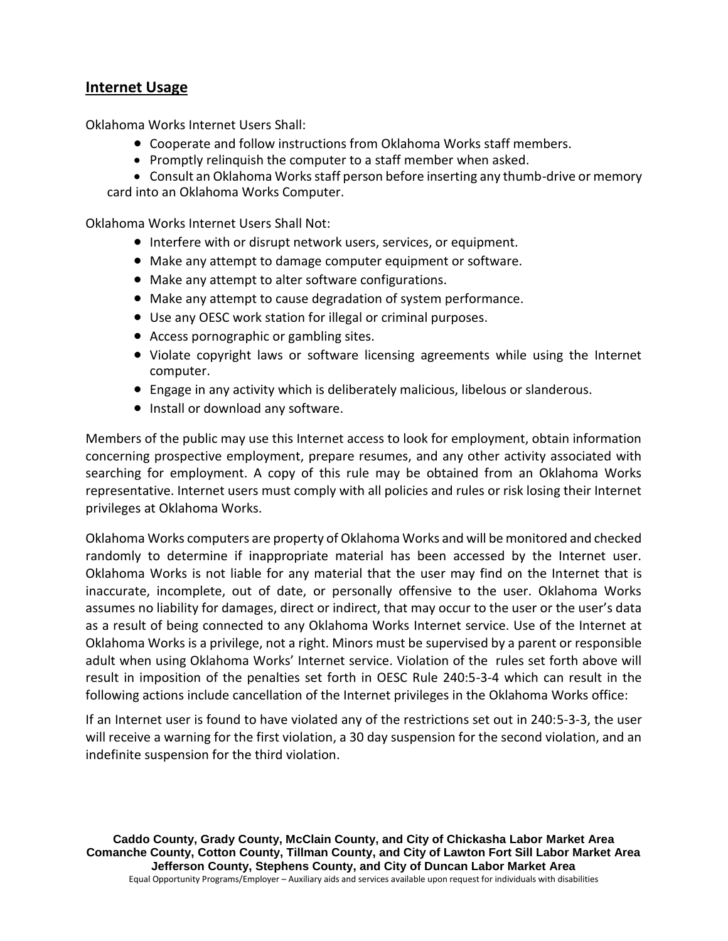#### **Internet Usage**

Oklahoma Works Internet Users Shall:

- Cooperate and follow instructions from Oklahoma Works staff members.
- Promptly relinquish the computer to a staff member when asked.
- Consult an Oklahoma Works staff person before inserting any thumb-drive or memory

card into an Oklahoma Works Computer.

Oklahoma Works Internet Users Shall Not:

- Interfere with or disrupt network users, services, or equipment.
- Make any attempt to damage computer equipment or software.
- Make any attempt to alter software configurations.
- Make any attempt to cause degradation of system performance.
- Use any OESC work station for illegal or criminal purposes.
- Access pornographic or gambling sites.
- Violate copyright laws or software licensing agreements while using the Internet computer.
- Engage in any activity which is deliberately malicious, libelous or slanderous.
- Install or download any software.

Members of the public may use this Internet access to look for employment, obtain information concerning prospective employment, prepare resumes, and any other activity associated with searching for employment. A copy of this rule may be obtained from an Oklahoma Works representative. Internet users must comply with all policies and rules or risk losing their Internet privileges at Oklahoma Works.

Oklahoma Works computers are property of Oklahoma Works and will be monitored and checked randomly to determine if inappropriate material has been accessed by the Internet user. Oklahoma Works is not liable for any material that the user may find on the Internet that is inaccurate, incomplete, out of date, or personally offensive to the user. Oklahoma Works assumes no liability for damages, direct or indirect, that may occur to the user or the user's data as a result of being connected to any Oklahoma Works Internet service. Use of the Internet at Oklahoma Works is a privilege, not a right. Minors must be supervised by a parent or responsible adult when using Oklahoma Works' Internet service. Violation of the rules set forth above will result in imposition of the penalties set forth in OESC Rule 240:5-3-4 which can result in the following actions include cancellation of the Internet privileges in the Oklahoma Works office:

If an Internet user is found to have violated any of the restrictions set out in 240:5-3-3, the user will receive a warning for the first violation, a 30 day suspension for the second violation, and an indefinite suspension for the third violation.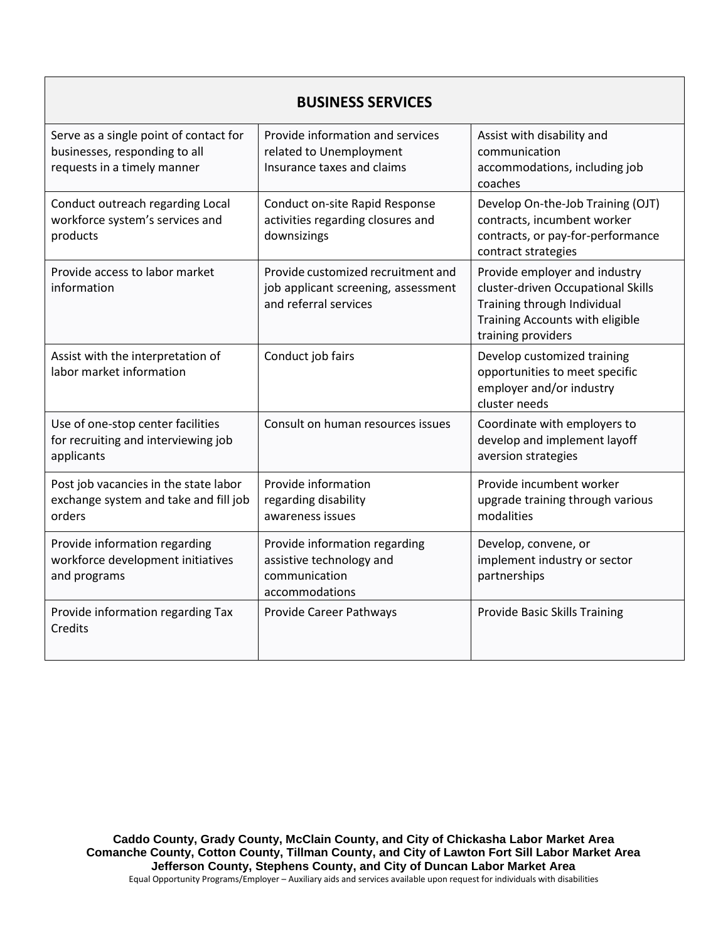| <b>BUSINESS SERVICES</b>                                                                               |                                                                                                    |                                                                                                                                                             |  |
|--------------------------------------------------------------------------------------------------------|----------------------------------------------------------------------------------------------------|-------------------------------------------------------------------------------------------------------------------------------------------------------------|--|
| Serve as a single point of contact for<br>businesses, responding to all<br>requests in a timely manner | Provide information and services<br>related to Unemployment<br>Insurance taxes and claims          | Assist with disability and<br>communication<br>accommodations, including job<br>coaches                                                                     |  |
| Conduct outreach regarding Local<br>workforce system's services and<br>products                        | Conduct on-site Rapid Response<br>activities regarding closures and<br>downsizings                 | Develop On-the-Job Training (OJT)<br>contracts, incumbent worker<br>contracts, or pay-for-performance<br>contract strategies                                |  |
| Provide access to labor market<br>information                                                          | Provide customized recruitment and<br>job applicant screening, assessment<br>and referral services | Provide employer and industry<br>cluster-driven Occupational Skills<br>Training through Individual<br>Training Accounts with eligible<br>training providers |  |
| Assist with the interpretation of<br>labor market information                                          | Conduct job fairs                                                                                  | Develop customized training<br>opportunities to meet specific<br>employer and/or industry<br>cluster needs                                                  |  |
| Use of one-stop center facilities<br>for recruiting and interviewing job<br>applicants                 | Consult on human resources issues                                                                  | Coordinate with employers to<br>develop and implement layoff<br>aversion strategies                                                                         |  |
| Post job vacancies in the state labor<br>exchange system and take and fill job<br>orders               | Provide information<br>regarding disability<br>awareness issues                                    | Provide incumbent worker<br>upgrade training through various<br>modalities                                                                                  |  |
| Provide information regarding<br>workforce development initiatives<br>and programs                     | Provide information regarding<br>assistive technology and<br>communication<br>accommodations       | Develop, convene, or<br>implement industry or sector<br>partnerships                                                                                        |  |
| Provide information regarding Tax<br>Credits                                                           | Provide Career Pathways                                                                            | <b>Provide Basic Skills Training</b>                                                                                                                        |  |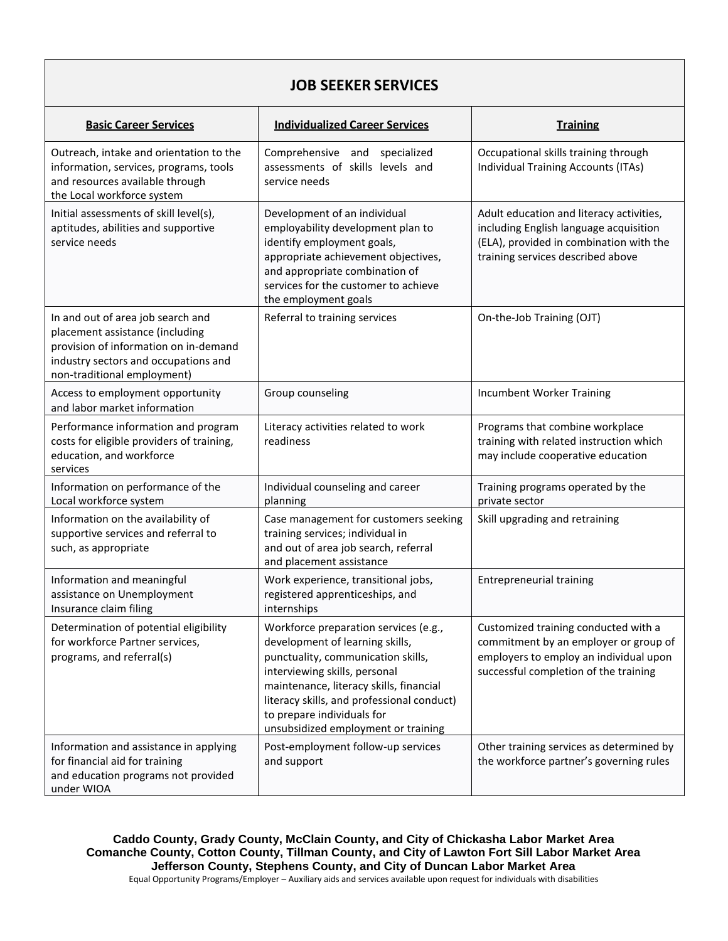## **JOB SEEKER SERVICES**

| <b>Basic Career Services</b>                                                                                                                                                         | <b>Individualized Career Services</b>                                                                                                                                                                                                                                                                         | <b>Training</b>                                                                                                                                                    |
|--------------------------------------------------------------------------------------------------------------------------------------------------------------------------------------|---------------------------------------------------------------------------------------------------------------------------------------------------------------------------------------------------------------------------------------------------------------------------------------------------------------|--------------------------------------------------------------------------------------------------------------------------------------------------------------------|
| Outreach, intake and orientation to the<br>information, services, programs, tools<br>and resources available through<br>the Local workforce system                                   | Comprehensive and<br>specialized<br>assessments of skills levels and<br>service needs                                                                                                                                                                                                                         | Occupational skills training through<br><b>Individual Training Accounts (ITAs)</b>                                                                                 |
| Initial assessments of skill level(s),<br>aptitudes, abilities and supportive<br>service needs                                                                                       | Development of an individual<br>employability development plan to<br>identify employment goals,<br>appropriate achievement objectives,<br>and appropriate combination of<br>services for the customer to achieve<br>the employment goals                                                                      | Adult education and literacy activities,<br>including English language acquisition<br>(ELA), provided in combination with the<br>training services described above |
| In and out of area job search and<br>placement assistance (including<br>provision of information on in-demand<br>industry sectors and occupations and<br>non-traditional employment) | Referral to training services                                                                                                                                                                                                                                                                                 | On-the-Job Training (OJT)                                                                                                                                          |
| Access to employment opportunity<br>and labor market information                                                                                                                     | Group counseling                                                                                                                                                                                                                                                                                              | Incumbent Worker Training                                                                                                                                          |
| Performance information and program<br>costs for eligible providers of training,<br>education, and workforce<br>services                                                             | Literacy activities related to work<br>readiness                                                                                                                                                                                                                                                              | Programs that combine workplace<br>training with related instruction which<br>may include cooperative education                                                    |
| Information on performance of the<br>Local workforce system                                                                                                                          | Individual counseling and career<br>planning                                                                                                                                                                                                                                                                  | Training programs operated by the<br>private sector                                                                                                                |
| Information on the availability of<br>supportive services and referral to<br>such, as appropriate                                                                                    | Case management for customers seeking<br>training services; individual in<br>and out of area job search, referral<br>and placement assistance                                                                                                                                                                 | Skill upgrading and retraining                                                                                                                                     |
| Information and meaningful<br>assistance on Unemployment<br>Insurance claim filing                                                                                                   | Work experience, transitional jobs,<br>registered apprenticeships, and<br>internships                                                                                                                                                                                                                         | <b>Entrepreneurial training</b>                                                                                                                                    |
| Determination of potential eligibility<br>for workforce Partner services,<br>programs, and referral(s)                                                                               | Workforce preparation services (e.g.,<br>development of learning skills,<br>punctuality, communication skills,<br>interviewing skills, personal<br>maintenance, literacy skills, financial<br>literacy skills, and professional conduct)<br>to prepare individuals for<br>unsubsidized employment or training | Customized training conducted with a<br>commitment by an employer or group of<br>employers to employ an individual upon<br>successful completion of the training   |
| Information and assistance in applying<br>for financial aid for training<br>and education programs not provided<br>under WIOA                                                        | Post-employment follow-up services<br>and support                                                                                                                                                                                                                                                             | Other training services as determined by<br>the workforce partner's governing rules                                                                                |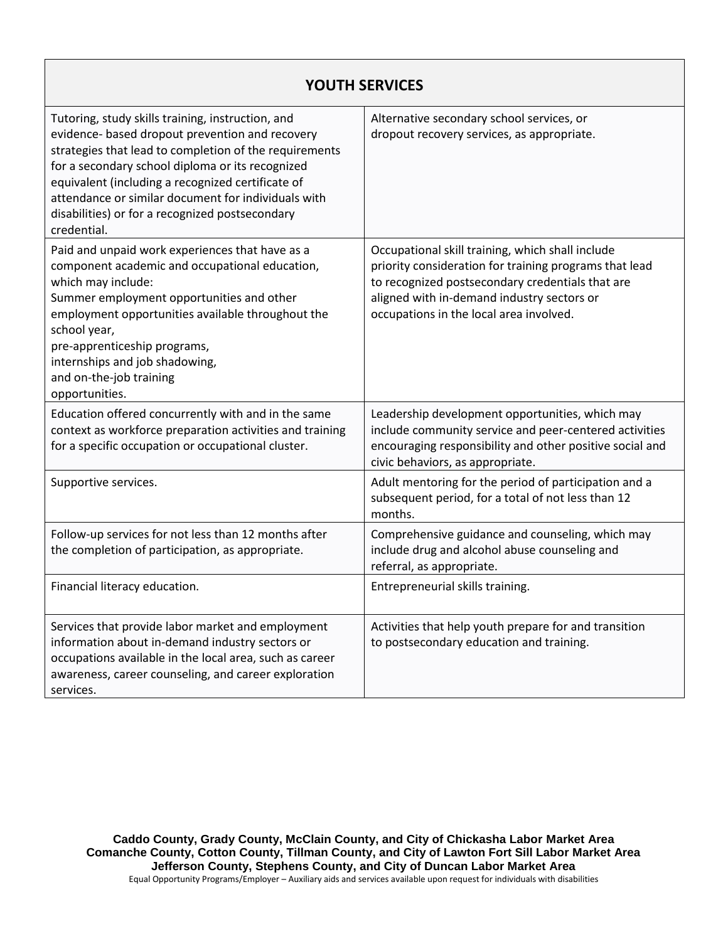### **YOUTH SERVICES**

| Tutoring, study skills training, instruction, and<br>evidence- based dropout prevention and recovery<br>strategies that lead to completion of the requirements<br>for a secondary school diploma or its recognized<br>equivalent (including a recognized certificate of<br>attendance or similar document for individuals with<br>disabilities) or for a recognized postsecondary<br>credential. | Alternative secondary school services, or<br>dropout recovery services, as appropriate.                                                                                                                                                                 |
|--------------------------------------------------------------------------------------------------------------------------------------------------------------------------------------------------------------------------------------------------------------------------------------------------------------------------------------------------------------------------------------------------|---------------------------------------------------------------------------------------------------------------------------------------------------------------------------------------------------------------------------------------------------------|
| Paid and unpaid work experiences that have as a<br>component academic and occupational education,<br>which may include:<br>Summer employment opportunities and other<br>employment opportunities available throughout the<br>school year,<br>pre-apprenticeship programs,<br>internships and job shadowing,<br>and on-the-job training<br>opportunities.                                         | Occupational skill training, which shall include<br>priority consideration for training programs that lead<br>to recognized postsecondary credentials that are<br>aligned with in-demand industry sectors or<br>occupations in the local area involved. |
| Education offered concurrently with and in the same<br>context as workforce preparation activities and training<br>for a specific occupation or occupational cluster.                                                                                                                                                                                                                            | Leadership development opportunities, which may<br>include community service and peer-centered activities<br>encouraging responsibility and other positive social and<br>civic behaviors, as appropriate.                                               |
| Supportive services.                                                                                                                                                                                                                                                                                                                                                                             | Adult mentoring for the period of participation and a<br>subsequent period, for a total of not less than 12<br>months.                                                                                                                                  |
| Follow-up services for not less than 12 months after<br>the completion of participation, as appropriate.                                                                                                                                                                                                                                                                                         | Comprehensive guidance and counseling, which may<br>include drug and alcohol abuse counseling and<br>referral, as appropriate.                                                                                                                          |
| Financial literacy education.                                                                                                                                                                                                                                                                                                                                                                    | Entrepreneurial skills training.                                                                                                                                                                                                                        |
| Services that provide labor market and employment<br>information about in-demand industry sectors or<br>occupations available in the local area, such as career<br>awareness, career counseling, and career exploration<br>services.                                                                                                                                                             | Activities that help youth prepare for and transition<br>to postsecondary education and training.                                                                                                                                                       |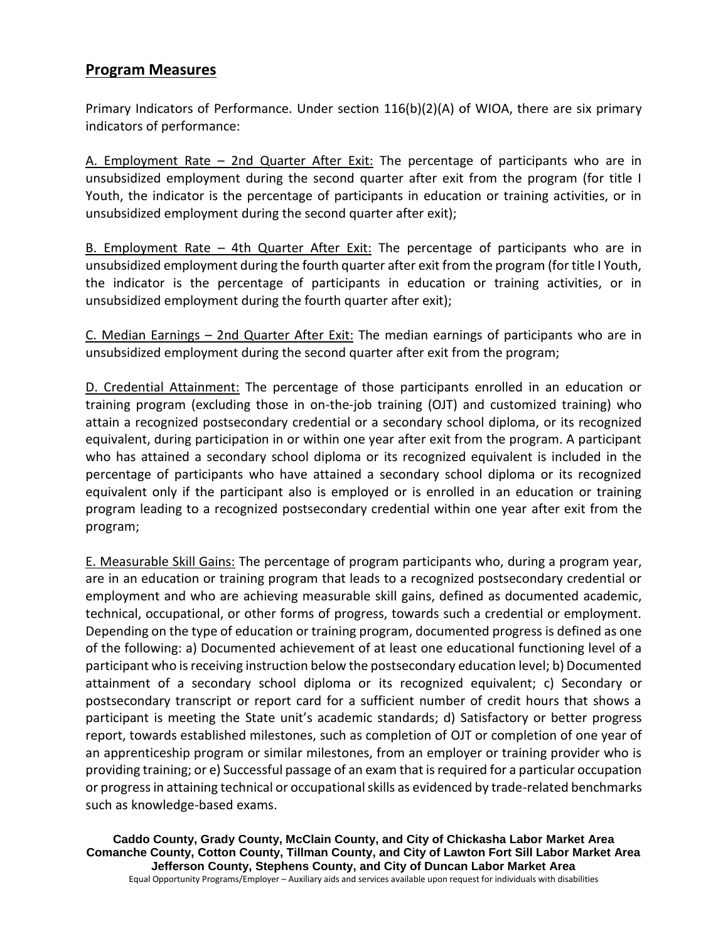#### **Program Measures**

Primary Indicators of Performance. Under section 116(b)(2)(A) of WIOA, there are six primary indicators of performance:

A. Employment Rate – 2nd Quarter After Exit: The percentage of participants who are in unsubsidized employment during the second quarter after exit from the program (for title I Youth, the indicator is the percentage of participants in education or training activities, or in unsubsidized employment during the second quarter after exit);

B. Employment Rate – 4th Quarter After Exit: The percentage of participants who are in unsubsidized employment during the fourth quarter after exit from the program (for title I Youth, the indicator is the percentage of participants in education or training activities, or in unsubsidized employment during the fourth quarter after exit);

C. Median Earnings – 2nd Quarter After Exit: The median earnings of participants who are in unsubsidized employment during the second quarter after exit from the program;

D. Credential Attainment: The percentage of those participants enrolled in an education or training program (excluding those in on-the-job training (OJT) and customized training) who attain a recognized postsecondary credential or a secondary school diploma, or its recognized equivalent, during participation in or within one year after exit from the program. A participant who has attained a secondary school diploma or its recognized equivalent is included in the percentage of participants who have attained a secondary school diploma or its recognized equivalent only if the participant also is employed or is enrolled in an education or training program leading to a recognized postsecondary credential within one year after exit from the program;

E. Measurable Skill Gains: The percentage of program participants who, during a program year, are in an education or training program that leads to a recognized postsecondary credential or employment and who are achieving measurable skill gains, defined as documented academic, technical, occupational, or other forms of progress, towards such a credential or employment. Depending on the type of education or training program, documented progress is defined as one of the following: a) Documented achievement of at least one educational functioning level of a participant who is receiving instruction below the postsecondary education level; b) Documented attainment of a secondary school diploma or its recognized equivalent; c) Secondary or postsecondary transcript or report card for a sufficient number of credit hours that shows a participant is meeting the State unit's academic standards; d) Satisfactory or better progress report, towards established milestones, such as completion of OJT or completion of one year of an apprenticeship program or similar milestones, from an employer or training provider who is providing training; or e) Successful passage of an exam that is required for a particular occupation or progress in attaining technical or occupational skills as evidenced by trade-related benchmarks such as knowledge-based exams.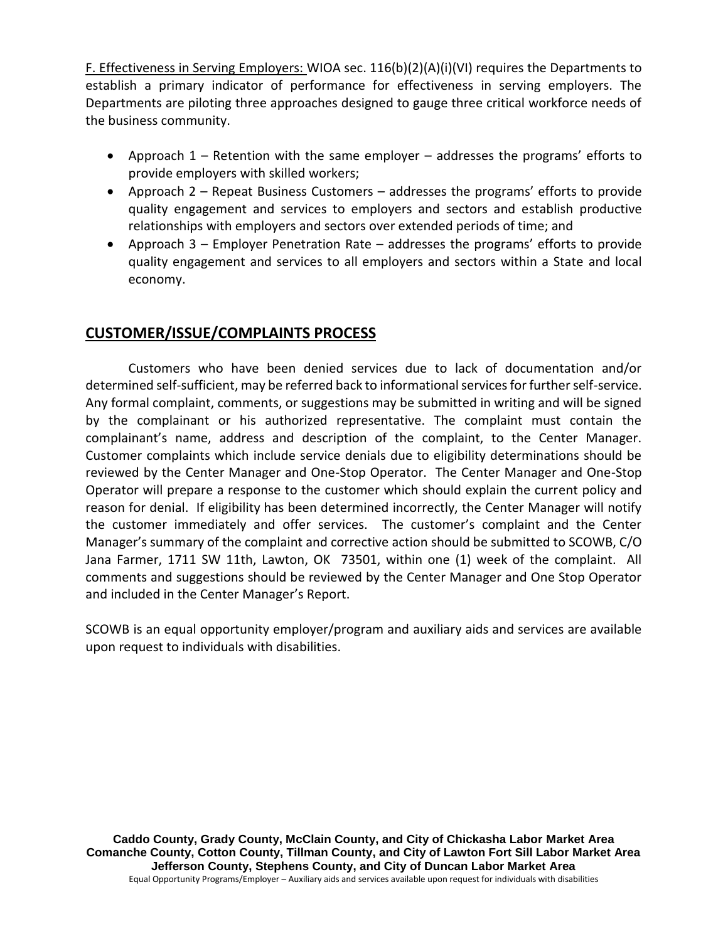F. Effectiveness in Serving Employers: WIOA sec. 116(b)(2)(A)(i)(VI) requires the Departments to establish a primary indicator of performance for effectiveness in serving employers. The Departments are piloting three approaches designed to gauge three critical workforce needs of the business community.

- Approach 1 Retention with the same employer addresses the programs' efforts to provide employers with skilled workers;
- Approach 2 Repeat Business Customers addresses the programs' efforts to provide quality engagement and services to employers and sectors and establish productive relationships with employers and sectors over extended periods of time; and
- Approach 3 Employer Penetration Rate addresses the programs' efforts to provide quality engagement and services to all employers and sectors within a State and local economy.

#### **CUSTOMER/ISSUE/COMPLAINTS PROCESS**

Customers who have been denied services due to lack of documentation and/or determined self-sufficient, may be referred back to informational services for further self-service. Any formal complaint, comments, or suggestions may be submitted in writing and will be signed by the complainant or his authorized representative. The complaint must contain the complainant's name, address and description of the complaint, to the Center Manager. Customer complaints which include service denials due to eligibility determinations should be reviewed by the Center Manager and One-Stop Operator. The Center Manager and One-Stop Operator will prepare a response to the customer which should explain the current policy and reason for denial. If eligibility has been determined incorrectly, the Center Manager will notify the customer immediately and offer services. The customer's complaint and the Center Manager's summary of the complaint and corrective action should be submitted to SCOWB, C/O Jana Farmer, 1711 SW 11th, Lawton, OK 73501, within one (1) week of the complaint. All comments and suggestions should be reviewed by the Center Manager and One Stop Operator and included in the Center Manager's Report.

SCOWB is an equal opportunity employer/program and auxiliary aids and services are available upon request to individuals with disabilities.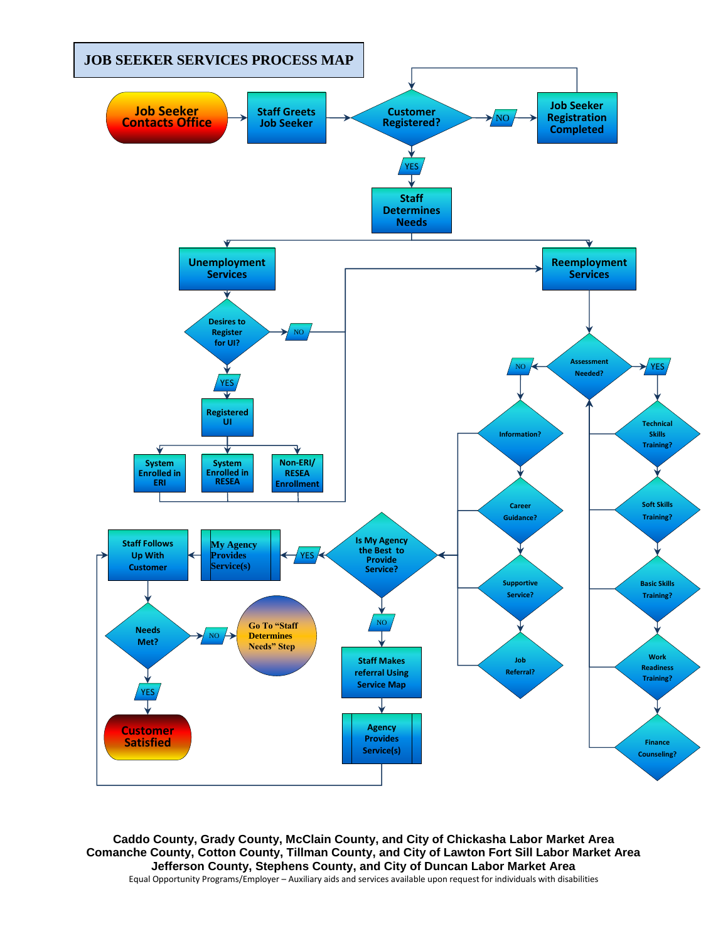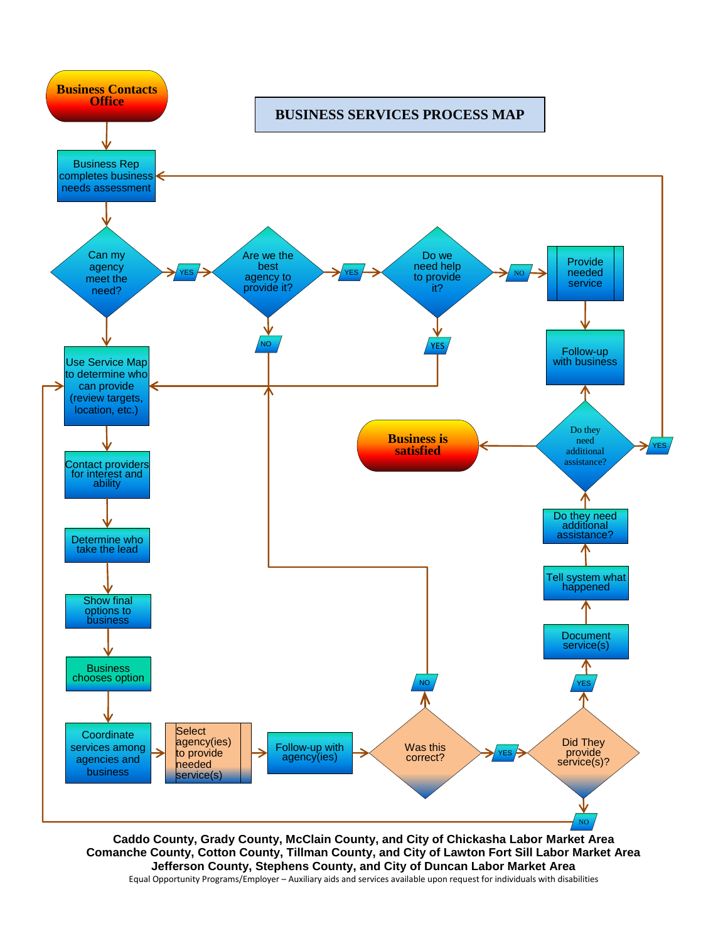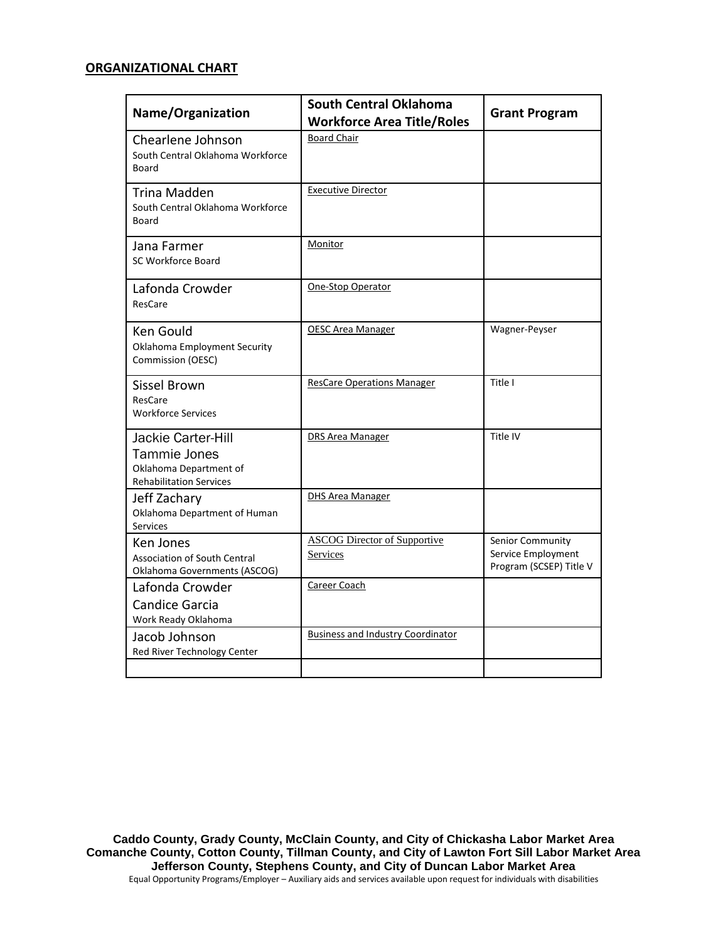#### **ORGANIZATIONAL CHART**

| <b>Name/Organization</b>                                                                              | <b>South Central Oklahoma</b><br><b>Workforce Area Title/Roles</b> | <b>Grant Program</b>                                              |
|-------------------------------------------------------------------------------------------------------|--------------------------------------------------------------------|-------------------------------------------------------------------|
| Chearlene Johnson<br>South Central Oklahoma Workforce<br><b>Board</b>                                 | <b>Board Chair</b>                                                 |                                                                   |
| Trina Madden<br>South Central Oklahoma Workforce<br>Board                                             | <b>Executive Director</b>                                          |                                                                   |
| Jana Farmer<br><b>SC Workforce Board</b>                                                              | Monitor                                                            |                                                                   |
| Lafonda Crowder<br>ResCare                                                                            | One-Stop Operator                                                  |                                                                   |
| Ken Gould<br><b>Oklahoma Employment Security</b><br>Commission (OESC)                                 | <b>OESC Area Manager</b>                                           | Wagner-Peyser                                                     |
| <b>Sissel Brown</b><br>ResCare<br><b>Workforce Services</b>                                           | <b>ResCare Operations Manager</b>                                  | Title I                                                           |
| Jackie Carter-Hill<br><b>Tammie Jones</b><br>Oklahoma Department of<br><b>Rehabilitation Services</b> | <b>DRS Area Manager</b>                                            | Title IV                                                          |
| Jeff Zachary<br>Oklahoma Department of Human<br><b>Services</b>                                       | <b>DHS Area Manager</b>                                            |                                                                   |
| Ken Jones<br><b>Association of South Central</b><br>Oklahoma Governments (ASCOG)                      | <b>ASCOG Director of Supportive</b><br>Services                    | Senior Community<br>Service Employment<br>Program (SCSEP) Title V |
| Lafonda Crowder<br><b>Candice Garcia</b><br>Work Ready Oklahoma                                       | Career Coach                                                       |                                                                   |
| Jacob Johnson<br>Red River Technology Center                                                          | <b>Business and Industry Coordinator</b>                           |                                                                   |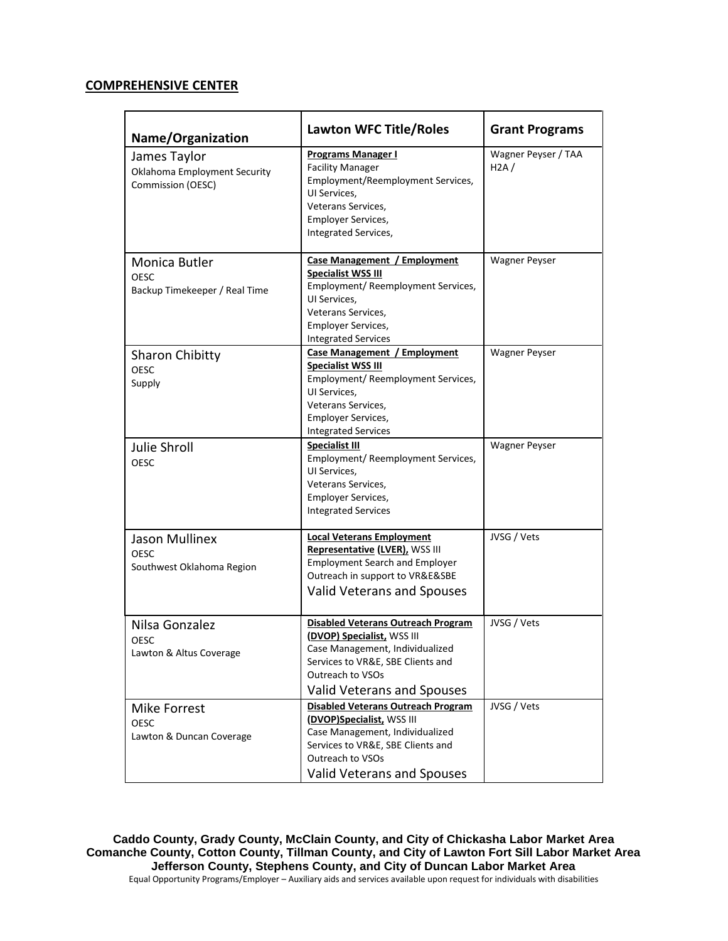#### **COMPREHENSIVE CENTER**

| Name/Organization                                                        | <b>Lawton WFC Title/Roles</b>                                                                                                                                                                                   | <b>Grant Programs</b>       |
|--------------------------------------------------------------------------|-----------------------------------------------------------------------------------------------------------------------------------------------------------------------------------------------------------------|-----------------------------|
| James Taylor<br><b>Oklahoma Employment Security</b><br>Commission (OESC) | <b>Programs Manager I</b><br><b>Facility Manager</b><br>Employment/Reemployment Services,<br>UI Services.<br>Veterans Services,<br><b>Employer Services,</b><br>Integrated Services,                            | Wagner Peyser / TAA<br>H2A/ |
| Monica Butler<br>OESC<br>Backup Timekeeper / Real Time                   | Case Management / Employment<br><b>Specialist WSS III</b><br>Employment/ Reemployment Services,<br>UI Services,<br>Veterans Services,<br><b>Employer Services,</b><br><b>Integrated Services</b>                | <b>Wagner Peyser</b>        |
| <b>Sharon Chibitty</b><br>OESC<br>Supply                                 | Case Management / Employment<br><b>Specialist WSS III</b><br>Employment/ Reemployment Services,<br>UI Services,<br>Veterans Services,<br><b>Employer Services,</b><br><b>Integrated Services</b>                | <b>Wagner Peyser</b>        |
| <b>Julie Shroll</b><br>OESC                                              | <b>Specialist III</b><br>Employment/ Reemployment Services,<br>UI Services,<br>Veterans Services,<br><b>Employer Services,</b><br><b>Integrated Services</b>                                                    | <b>Wagner Peyser</b>        |
| <b>Jason Mullinex</b><br>OESC<br>Southwest Oklahoma Region               | <b>Local Veterans Employment</b><br>Representative (LVER), WSS III<br><b>Employment Search and Employer</b><br>Outreach in support to VR&E&SBE<br>Valid Veterans and Spouses                                    | JVSG / Vets                 |
| Nilsa Gonzalez<br>OESC<br>Lawton & Altus Coverage                        | <b>Disabled Veterans Outreach Program</b><br>(DVOP) Specialist, WSS III<br>Case Management, Individualized<br>Services to VR&E, SBE Clients and<br><b>Outreach to VSOs</b><br><b>Valid Veterans and Spouses</b> | JVSG / Vets                 |
| <b>Mike Forrest</b><br>OESC<br>Lawton & Duncan Coverage                  | <b>Disabled Veterans Outreach Program</b><br>(DVOP)Specialist, WSS III<br>Case Management, Individualized<br>Services to VR&E, SBE Clients and<br>Outreach to VSOs<br><b>Valid Veterans and Spouses</b>         | JVSG / Vets                 |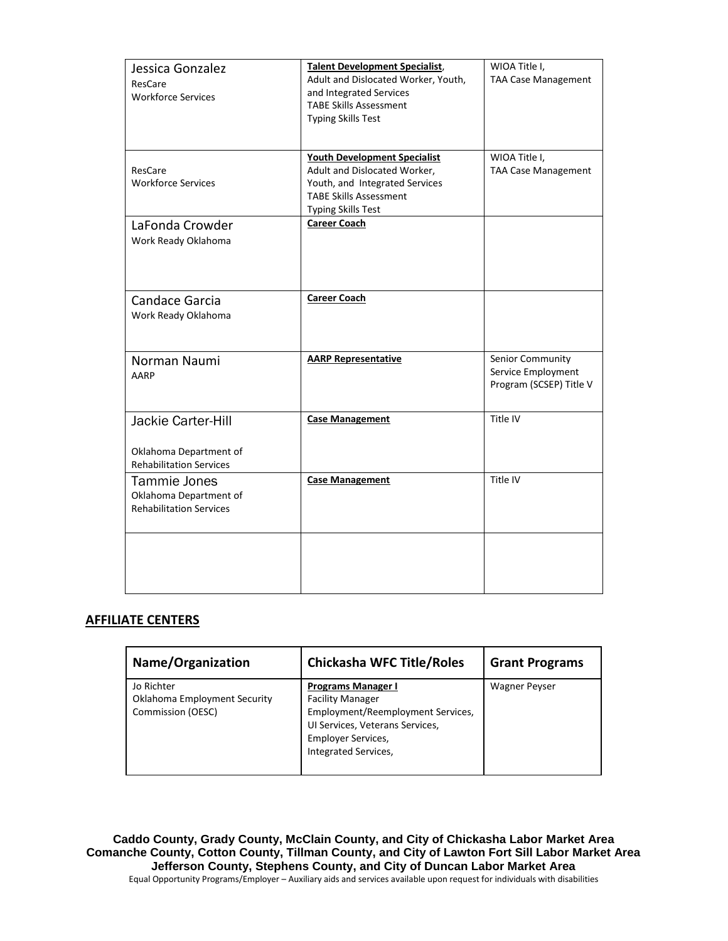| Jessica Gonzalez<br>ResCare<br><b>Workforce Services</b>                       | <b>Talent Development Specialist,</b><br>Adult and Dislocated Worker, Youth,<br>and Integrated Services<br><b>TABE Skills Assessment</b><br><b>Typing Skills Test</b> | WIOA Title I,<br><b>TAA Case Management</b>                       |
|--------------------------------------------------------------------------------|-----------------------------------------------------------------------------------------------------------------------------------------------------------------------|-------------------------------------------------------------------|
| ResCare<br><b>Workforce Services</b>                                           | <b>Youth Development Specialist</b><br>Adult and Dislocated Worker,<br>Youth, and Integrated Services<br><b>TABE Skills Assessment</b><br><b>Typing Skills Test</b>   | WIOA Title I,<br><b>TAA Case Management</b>                       |
| LaFonda Crowder<br>Work Ready Oklahoma                                         | <b>Career Coach</b>                                                                                                                                                   |                                                                   |
| Candace Garcia<br>Work Ready Oklahoma                                          | <b>Career Coach</b>                                                                                                                                                   |                                                                   |
| Norman Naumi<br>AARP                                                           | <b>AARP Representative</b>                                                                                                                                            | Senior Community<br>Service Employment<br>Program (SCSEP) Title V |
| Jackie Carter-Hill<br>Oklahoma Department of<br><b>Rehabilitation Services</b> | <b>Case Management</b>                                                                                                                                                | Title IV                                                          |
| Tammie Jones<br>Oklahoma Department of<br><b>Rehabilitation Services</b>       | <b>Case Management</b>                                                                                                                                                | Title IV                                                          |
|                                                                                |                                                                                                                                                                       |                                                                   |

#### **AFFILIATE CENTERS**

| Name/Organization                                                      | <b>Chickasha WFC Title/Roles</b>                                                                                                                                                  | <b>Grant Programs</b> |
|------------------------------------------------------------------------|-----------------------------------------------------------------------------------------------------------------------------------------------------------------------------------|-----------------------|
| Jo Richter<br><b>Oklahoma Employment Security</b><br>Commission (OESC) | <b>Programs Manager I</b><br><b>Facility Manager</b><br>Employment/Reemployment Services,<br>UI Services, Veterans Services,<br><b>Employer Services,</b><br>Integrated Services, | <b>Wagner Peyser</b>  |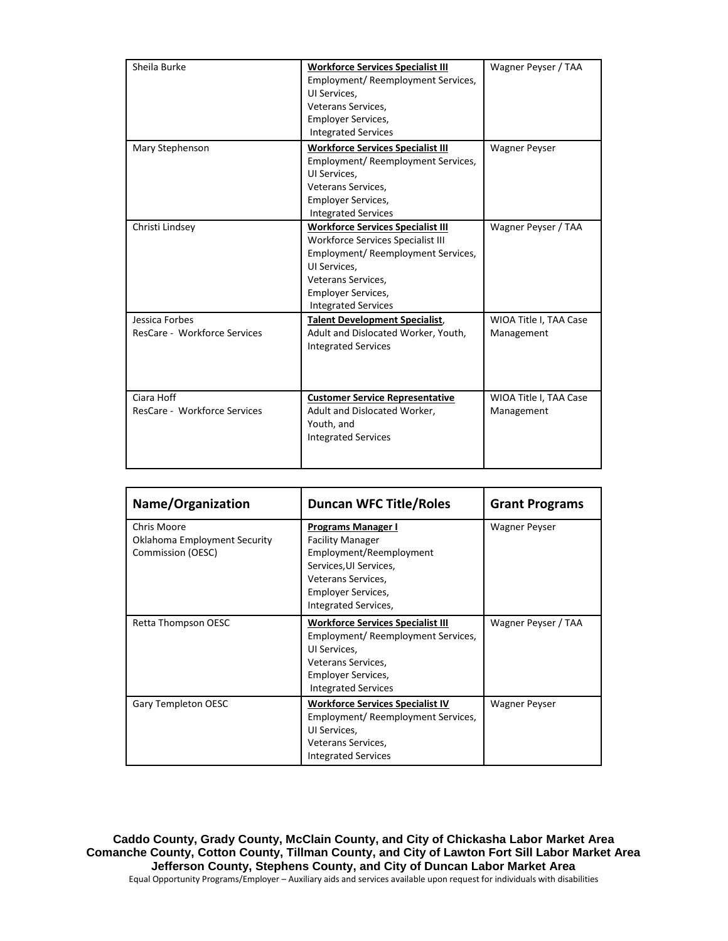| Sheila Burke                                   | <b>Workforce Services Specialist III</b><br>Employment/ Reemployment Services,<br>UI Services,<br>Veterans Services,<br><b>Employer Services,</b><br><b>Integrated Services</b>                                             | Wagner Peyser / TAA                  |
|------------------------------------------------|-----------------------------------------------------------------------------------------------------------------------------------------------------------------------------------------------------------------------------|--------------------------------------|
| Mary Stephenson                                | <b>Workforce Services Specialist III</b><br>Employment/ Reemployment Services,<br>UI Services.<br>Veterans Services.<br><b>Employer Services,</b><br><b>Integrated Services</b>                                             | <b>Wagner Peyser</b>                 |
| Christi Lindsey                                | <b>Workforce Services Specialist III</b><br><b>Workforce Services Specialist III</b><br>Employment/ Reemployment Services,<br>UI Services.<br>Veterans Services,<br><b>Employer Services,</b><br><b>Integrated Services</b> | Wagner Peyser / TAA                  |
| Jessica Forbes<br>ResCare - Workforce Services | <b>Talent Development Specialist,</b><br>Adult and Dislocated Worker, Youth,<br><b>Integrated Services</b>                                                                                                                  | WIOA Title I, TAA Case<br>Management |
| Ciara Hoff<br>ResCare - Workforce Services     | <b>Customer Service Representative</b><br>Adult and Dislocated Worker,<br>Youth, and<br><b>Integrated Services</b>                                                                                                          | WIOA Title I, TAA Case<br>Management |

| Name/Organization                                                       | <b>Duncan WFC Title/Roles</b>                                                                                                                                                        | <b>Grant Programs</b> |
|-------------------------------------------------------------------------|--------------------------------------------------------------------------------------------------------------------------------------------------------------------------------------|-----------------------|
| Chris Moore<br><b>Oklahoma Employment Security</b><br>Commission (OESC) | <b>Programs Manager I</b><br><b>Facility Manager</b><br>Employment/Reemployment<br>Services, UI Services,<br>Veterans Services,<br><b>Employer Services,</b><br>Integrated Services, | <b>Wagner Peyser</b>  |
| Retta Thompson OESC                                                     | <b>Workforce Services Specialist III</b><br>Employment/ Reemployment Services,<br>UI Services,<br>Veterans Services,<br><b>Employer Services,</b><br><b>Integrated Services</b>      | Wagner Peyser / TAA   |
| Gary Templeton OESC                                                     | <b>Workforce Services Specialist IV</b><br>Employment/ Reemployment Services,<br>UI Services,<br>Veterans Services,<br><b>Integrated Services</b>                                    | <b>Wagner Peyser</b>  |